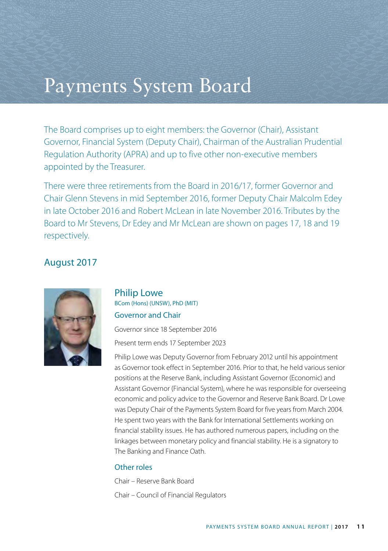# Payments System Board

The Board comprises up to eight members: the Governor (Chair), Assistant Governor, Financial System (Deputy Chair), Chairman of the Australian Prudential Regulation Authority (APRA) and up to five other non-executive members appointed by the Treasurer.

There were three retirements from the Board in 2016/17, former Governor and Chair Glenn Stevens in mid September 2016, former Deputy Chair Malcolm Edey in late October 2016 and Robert McLean in late November 2016. Tributes by the Board to Mr Stevens, Dr Edey and Mr McLean are shown on pages 17, 18 and 19 respectively.

## August 2017



## Philip Lowe BCom (Hons) (UNSW), PhD (MIT) Governor and Chair

Governor since 18 September 2016

Present term ends 17 September 2023

Philip Lowe was Deputy Governor from February 2012 until his appointment as Governor took effect in September 2016. Prior to that, he held various senior positions at the Reserve Bank, including Assistant Governor (Economic) and Assistant Governor (Financial System), where he was responsible for overseeing economic and policy advice to the Governor and Reserve Bank Board. Dr Lowe was Deputy Chair of the Payments System Board for five years from March 2004. He spent two years with the Bank for International Settlements working on financial stability issues. He has authored numerous papers, including on the linkages between monetary policy and financial stability. He is a signatory to The Banking and Finance Oath.

#### Other roles

Chair – Reserve Bank Board

Chair – Council of Financial Regulators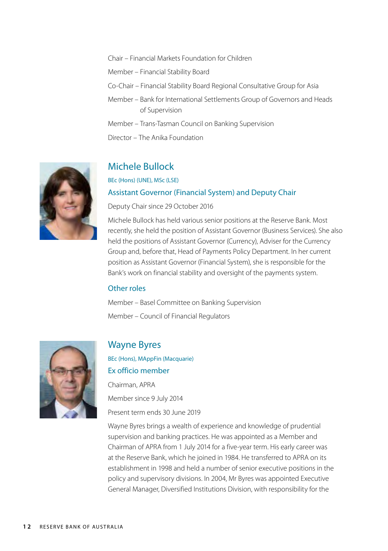Chair – Financial Markets Foundation for Children

Member – Financial Stability Board

- Co-Chair Financial Stability Board Regional Consultative Group for Asia
- Member Bank for International Settlements Group of Governors and Heads of Supervision

Member – Trans-Tasman Council on Banking Supervision

Director – The Anika Foundation



## Michele Bullock

BEc (Hons) (UNE), MSc (LSE)

#### Assistant Governor (Financial System) and Deputy Chair

Deputy Chair since 29 October 2016

Michele Bullock has held various senior positions at the Reserve Bank. Most recently, she held the position of Assistant Governor (Business Services). She also held the positions of Assistant Governor (Currency), Adviser for the Currency Group and, before that, Head of Payments Policy Department. In her current position as Assistant Governor (Financial System), she is responsible for the Bank's work on financial stability and oversight of the payments system.

#### Other roles

Member – Basel Committee on Banking Supervision Member – Council of Financial Regulators



## Wayne Byres

BEc (Hons), MAppFin (Macquarie) Ex officio member Chairman, APRA Member since 9 July 2014

Present term ends 30 June 2019

Wayne Byres brings a wealth of experience and knowledge of prudential supervision and banking practices. He was appointed as a Member and Chairman of APRA from 1 July 2014 for a five-year term. His early career was at the Reserve Bank, which he joined in 1984. He transferred to APRA on its establishment in 1998 and held a number of senior executive positions in the policy and supervisory divisions. In 2004, Mr Byres was appointed Executive General Manager, Diversified Institutions Division, with responsibility for the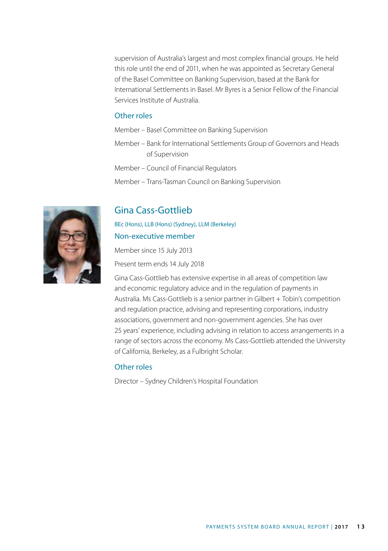supervision of Australia's largest and most complex financial groups. He held this role until the end of 2011, when he was appointed as Secretary General of the Basel Committee on Banking Supervision, based at the Bank for International Settlements in Basel. Mr Byres is a Senior Fellow of the Financial Services Institute of Australia.

#### Other roles

Member – Basel Committee on Banking Supervision

- Member Bank for International Settlements Group of Governors and Heads of Supervision
- Member Council of Financial Regulators
- Member Trans-Tasman Council on Banking Supervision

## Gina Cass-Gottlieb

BEc (Hons), LLB (Hons) (Sydney), LLM (Berkeley)

#### Non-executive member

Member since 15 July 2013

Present term ends 14 July 2018

Gina Cass-Gottlieb has extensive expertise in all areas of competition law and economic regulatory advice and in the regulation of payments in Australia. Ms Cass-Gottlieb is a senior partner in Gilbert + Tobin's competition and regulation practice, advising and representing corporations, industry associations, government and non-government agencies. She has over 25 years' experience, including advising in relation to access arrangements in a range of sectors across the economy. Ms Cass-Gottlieb attended the University of California, Berkeley, as a Fulbright Scholar.

#### Other roles

Director – Sydney Children's Hospital Foundation

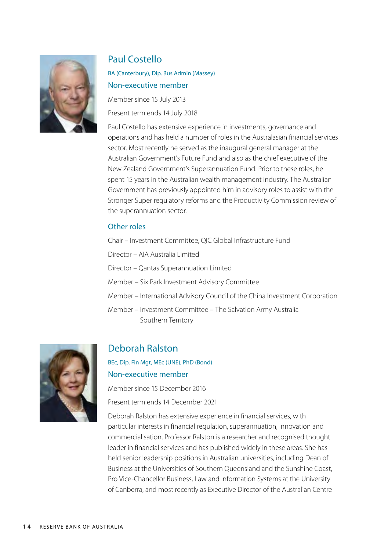

## Paul Costello

BA (Canterbury), Dip. Bus Admin (Massey) Non-executive member Member since 15 July 2013

Present term ends 14 July 2018

Paul Costello has extensive experience in investments, governance and operations and has held a number of roles in the Australasian financial services sector. Most recently he served as the inaugural general manager at the Australian Government's Future Fund and also as the chief executive of the New Zealand Government's Superannuation Fund. Prior to these roles, he spent 15 years in the Australian wealth management industry. The Australian Government has previously appointed him in advisory roles to assist with the Stronger Super regulatory reforms and the Productivity Commission review of the superannuation sector.

#### Other roles

Chair – Investment Committee, QIC Global Infrastructure Fund

Director – AIA Australia Limited

Director – Qantas Superannuation Limited

Member – Six Park Investment Advisory Committee

Member – International Advisory Council of the China Investment Corporation

Member – Investment Committee – The Salvation Army Australia Southern Territory



## Deborah Ralston

BEc, Dip. Fin Mgt, MEc (UNE), PhD (Bond) Non-executive member

Member since 15 December 2016

Present term ends 14 December 2021

Deborah Ralston has extensive experience in financial services, with particular interests in financial regulation, superannuation, innovation and commercialisation. Professor Ralston is a researcher and recognised thought leader in financial services and has published widely in these areas. She has held senior leadership positions in Australian universities, including Dean of Business at the Universities of Southern Queensland and the Sunshine Coast, Pro Vice-Chancellor Business, Law and Information Systems at the University of Canberra, and most recently as Executive Director of the Australian Centre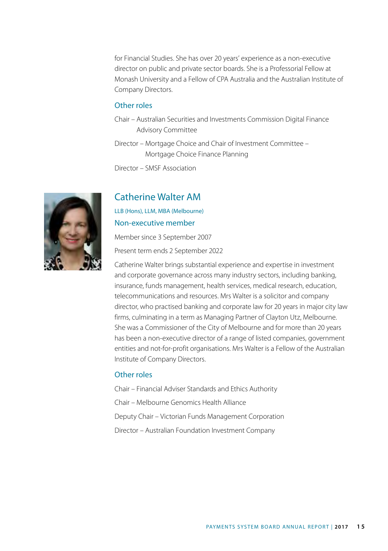for Financial Studies. She has over 20 years' experience as a non-executive director on public and private sector boards. She is a Professorial Fellow at Monash University and a Fellow of CPA Australia and the Australian Institute of Company Directors.

#### Other roles

- Chair Australian Securities and Investments Commission Digital Finance Advisory Committee
- Director Mortgage Choice and Chair of Investment Committee Mortgage Choice Finance Planning

Director – SMSF Association



### Catherine Walter AM

LLB (Hons), LLM, MBA (Melbourne) Non-executive member

Member since 3 September 2007 Present term ends 2 September 2022

Catherine Walter brings substantial experience and expertise in investment and corporate governance across many industry sectors, including banking, insurance, funds management, health services, medical research, education, telecommunications and resources. Mrs Walter is a solicitor and company director, who practised banking and corporate law for 20 years in major city law firms, culminating in a term as Managing Partner of Clayton Utz, Melbourne. She was a Commissioner of the City of Melbourne and for more than 20 years has been a non-executive director of a range of listed companies, government entities and not-for-profit organisations. Mrs Walter is a Fellow of the Australian Institute of Company Directors.

#### Other roles

- Chair Financial Adviser Standards and Ethics Authority
- Chair Melbourne Genomics Health Alliance
- Deputy Chair Victorian Funds Management Corporation
- Director Australian Foundation Investment Company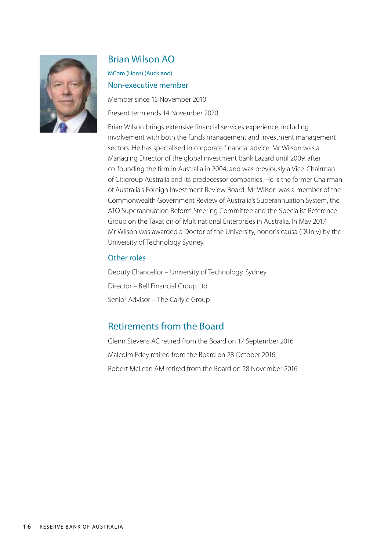

## Brian Wilson AO

MCom (Hons) (Auckland) Non-executive member

Member since 15 November 2010 Present term ends 14 November 2020

Brian Wilson brings extensive financial services experience, including involvement with both the funds management and investment management sectors. He has specialised in corporate financial advice. Mr Wilson was a Managing Director of the global investment bank Lazard until 2009, after co-founding the firm in Australia in 2004, and was previously a Vice-Chairman of Citigroup Australia and its predecessor companies. He is the former Chairman of Australia's Foreign Investment Review Board. Mr Wilson was a member of the Commonwealth Government Review of Australia's Superannuation System, the ATO Superannuation Reform Steering Committee and the Specialist Reference Group on the Taxation of Multinational Enterprises in Australia. In May 2017, Mr Wilson was awarded a Doctor of the University, honoris causa (DUniv) by the University of Technology Sydney.

### Other roles

Deputy Chancellor – University of Technology, Sydney Director – Bell Financial Group Ltd Senior Advisor – The Carlyle Group

## Retirements from the Board

Glenn Stevens AC retired from the Board on 17 September 2016 Malcolm Edey retired from the Board on 28 October 2016 Robert McLean AM retired from the Board on 28 November 2016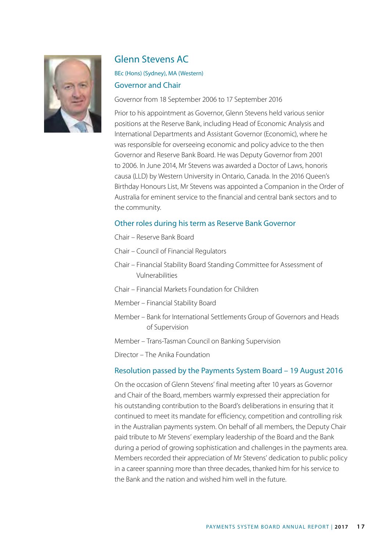

## Glenn Stevens AC

## BEc (Hons) (Sydney), MA (Western) Governor and Chair

Governor from 18 September 2006 to 17 September 2016

Prior to his appointment as Governor, Glenn Stevens held various senior positions at the Reserve Bank, including Head of Economic Analysis and International Departments and Assistant Governor (Economic), where he was responsible for overseeing economic and policy advice to the then Governor and Reserve Bank Board. He was Deputy Governor from 2001 to 2006. In June 2014, Mr Stevens was awarded a Doctor of Laws, honoris causa (LLD) by Western University in Ontario, Canada. In the 2016 Queen's Birthday Honours List, Mr Stevens was appointed a Companion in the Order of Australia for eminent service to the financial and central bank sectors and to the community.

#### Other roles during his term as Reserve Bank Governor

- Chair Reserve Bank Board
- Chair Council of Financial Regulators
- Chair Financial Stability Board Standing Committee for Assessment of Vulnerabilities
- Chair Financial Markets Foundation for Children
- Member Financial Stability Board
- Member Bank for International Settlements Group of Governors and Heads of Supervision
- Member Trans-Tasman Council on Banking Supervision
- Director The Anika Foundation

#### Resolution passed by the Payments System Board – 19 August 2016

On the occasion of Glenn Stevens' final meeting after 10 years as Governor and Chair of the Board, members warmly expressed their appreciation for his outstanding contribution to the Board's deliberations in ensuring that it continued to meet its mandate for efficiency, competition and controlling risk in the Australian payments system. On behalf of all members, the Deputy Chair paid tribute to Mr Stevens' exemplary leadership of the Board and the Bank during a period of growing sophistication and challenges in the payments area. Members recorded their appreciation of Mr Stevens' dedication to public policy in a career spanning more than three decades, thanked him for his service to the Bank and the nation and wished him well in the future.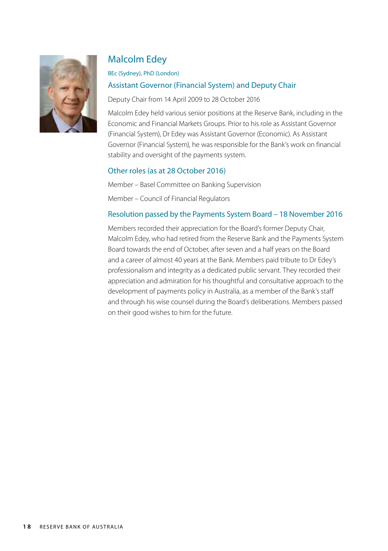

## Malcolm Edey

#### BEc (Sydney), PhD (London)

## Assistant Governor (Financial System) and Deputy Chair

Deputy Chair from 14 April 2009 to 28 October 2016

Malcolm Edey held various senior positions at the Reserve Bank, including in the Economic and Financial Markets Groups. Prior to his role as Assistant Governor (Financial System), Dr Edey was Assistant Governor (Economic). As Assistant Governor (Financial System), he was responsible for the Bank's work on financial stability and oversight of the payments system.

### Other roles (as at 28 October 2016)

Member – Basel Committee on Banking Supervision

Member – Council of Financial Regulators

## Resolution passed by the Payments System Board – 18 November 2016

Members recorded their appreciation for the Board's former Deputy Chair, Malcolm Edey, who had retired from the Reserve Bank and the Payments System Board towards the end of October, after seven and a half years on the Board and a career of almost 40 years at the Bank. Members paid tribute to Dr Edey's professionalism and integrity as a dedicated public servant. They recorded their appreciation and admiration for his thoughtful and consultative approach to the development of payments policy in Australia, as a member of the Bank's staff and through his wise counsel during the Board's deliberations. Members passed on their good wishes to him for the future.